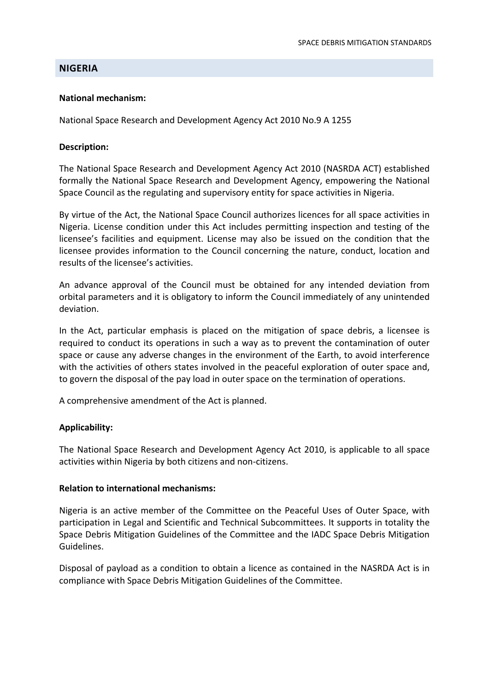### **NIGERIA**

#### **National mechanism:**

National Space Research and Development Agency Act 2010 No.9 A 1255

#### **Description:**

The National Space Research and Development Agency Act 2010 (NASRDA ACT) established formally the National Space Research and Development Agency, empowering the National Space Council as the regulating and supervisory entity for space activities in Nigeria.

By virtue of the Act, the National Space Council authorizes licences for all space activities in Nigeria. License condition under this Act includes permitting inspection and testing of the licensee's facilities and equipment. License may also be issued on the condition that the licensee provides information to the Council concerning the nature, conduct, location and results of the licensee's activities.

An advance approval of the Council must be obtained for any intended deviation from orbital parameters and it is obligatory to inform the Council immediately of any unintended deviation.

In the Act, particular emphasis is placed on the mitigation of space debris, a licensee is required to conduct its operations in such a way as to prevent the contamination of outer space or cause any adverse changes in the environment of the Earth, to avoid interference with the activities of others states involved in the peaceful exploration of outer space and, to govern the disposal of the pay load in outer space on the termination of operations.

A comprehensive amendment of the Act is planned.

#### **Applicability:**

The National Space Research and Development Agency Act 2010, is applicable to all space activities within Nigeria by both citizens and non‐citizens.

#### **Relation to international mechanisms:**

Nigeria is an active member of the Committee on the Peaceful Uses of Outer Space, with participation in Legal and Scientific and Technical Subcommittees. It supports in totality the Space Debris Mitigation Guidelines of the Committee and the IADC Space Debris Mitigation Guidelines.

Disposal of payload as a condition to obtain a licence as contained in the NASRDA Act is in compliance with Space Debris Mitigation Guidelines of the Committee.